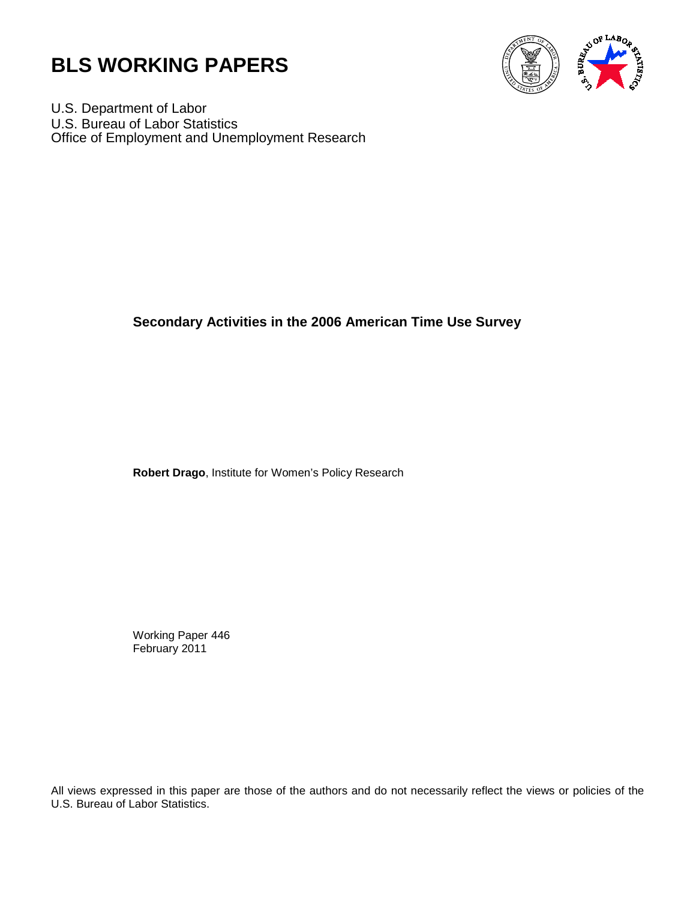



U.S. Department of Labor U.S. Bureau of Labor Statistics Office of Employment and Unemployment Research

# **Secondary Activities in the 2006 American Time Use Survey**

**Robert Drago**, Institute for Women's Policy Research

Working Paper 446 February 2011

All views expressed in this paper are those of the authors and do not necessarily reflect the views or policies of the U.S. Bureau of Labor Statistics.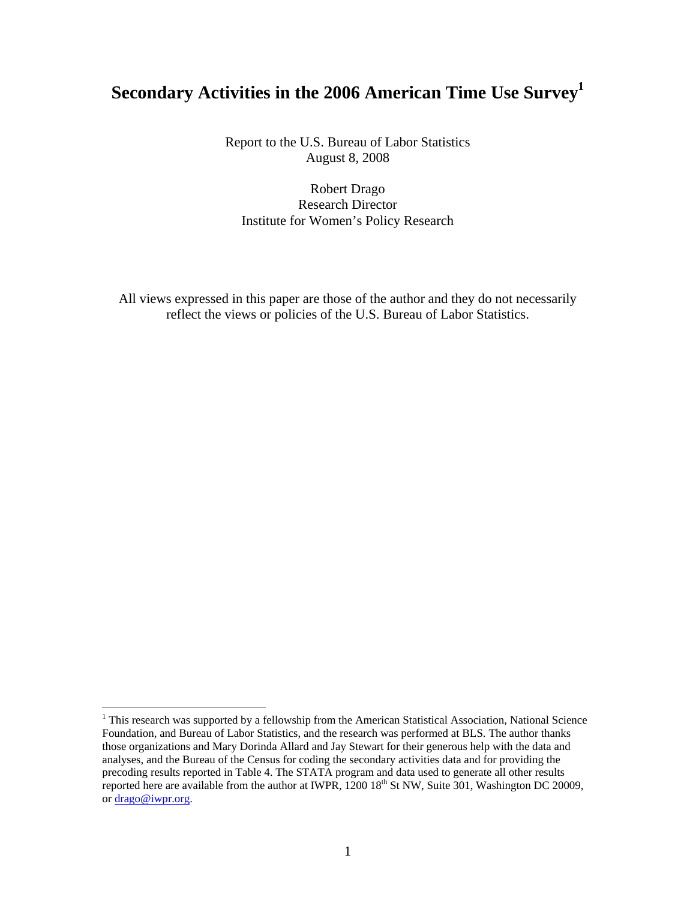# **Secondary Activities in the 2006 American Time Use Survey1**

Report to the U.S. Bureau of Labor Statistics August 8, 2008

Robert Drago Research Director Institute for Women's Policy Research

All views expressed in this paper are those of the author and they do not necessarily reflect the views or policies of the U.S. Bureau of Labor Statistics.

<sup>&</sup>lt;sup>1</sup> This research was supported by a fellowship from the American Statistical Association, National Science Foundation, and Bureau of Labor Statistics, and the research was performed at BLS. The author thanks those organizations and Mary Dorinda Allard and Jay Stewart for their generous help with the data and analyses, and the Bureau of the Census for coding the secondary activities data and for providing the precoding results reported in Table 4. The STATA program and data used to generate all other results reported here are available from the author at IWPR,  $1200\,18^{th}$  St NW, Suite 301, Washington DC 20009, or drago@iwpr.org.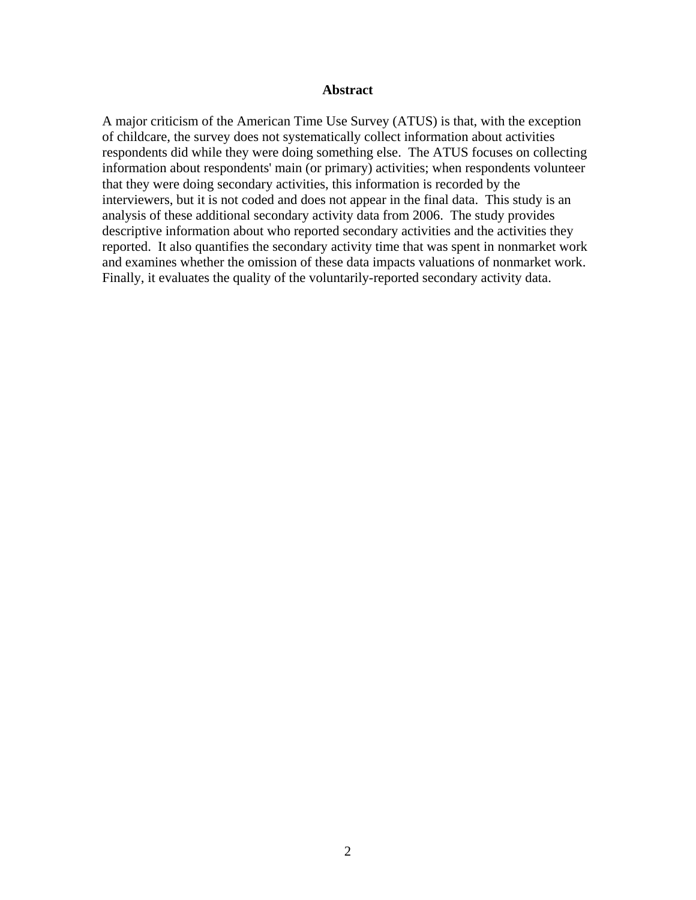#### **Abstract**

A major criticism of the American Time Use Survey (ATUS) is that, with the exception of childcare, the survey does not systematically collect information about activities respondents did while they were doing something else. The ATUS focuses on collecting information about respondents' main (or primary) activities; when respondents volunteer that they were doing secondary activities, this information is recorded by the interviewers, but it is not coded and does not appear in the final data. This study is an analysis of these additional secondary activity data from 2006. The study provides descriptive information about who reported secondary activities and the activities they reported. It also quantifies the secondary activity time that was spent in nonmarket work and examines whether the omission of these data impacts valuations of nonmarket work. Finally, it evaluates the quality of the voluntarily-reported secondary activity data.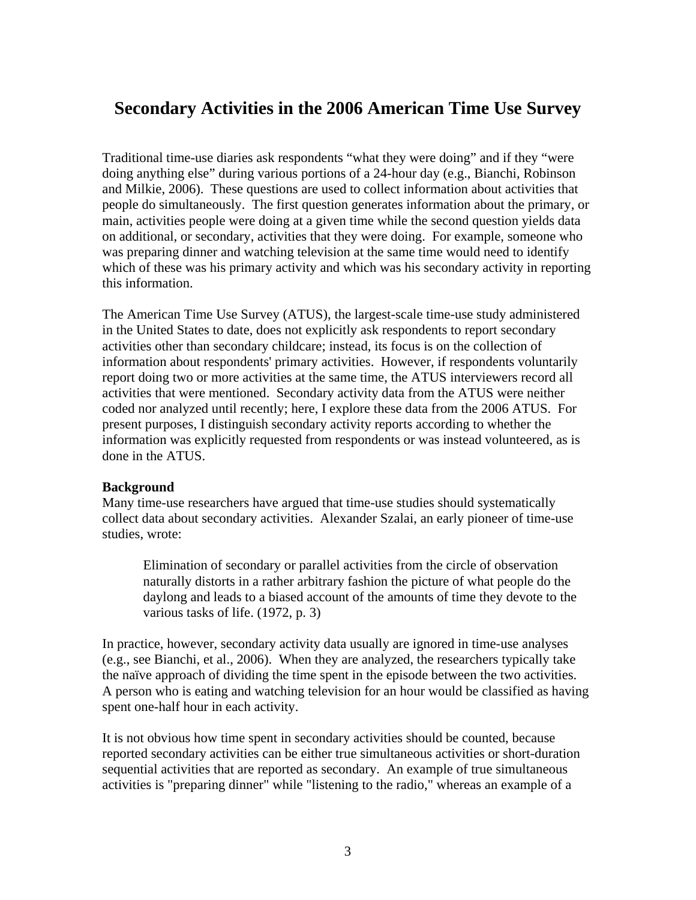# **Secondary Activities in the 2006 American Time Use Survey**

Traditional time-use diaries ask respondents "what they were doing" and if they "were doing anything else" during various portions of a 24-hour day (e.g., Bianchi, Robinson and Milkie, 2006). These questions are used to collect information about activities that people do simultaneously. The first question generates information about the primary, or main, activities people were doing at a given time while the second question yields data on additional, or secondary, activities that they were doing. For example, someone who was preparing dinner and watching television at the same time would need to identify which of these was his primary activity and which was his secondary activity in reporting this information.

The American Time Use Survey (ATUS), the largest-scale time-use study administered in the United States to date, does not explicitly ask respondents to report secondary activities other than secondary childcare; instead, its focus is on the collection of information about respondents' primary activities. However, if respondents voluntarily report doing two or more activities at the same time, the ATUS interviewers record all activities that were mentioned. Secondary activity data from the ATUS were neither coded nor analyzed until recently; here, I explore these data from the 2006 ATUS. For present purposes, I distinguish secondary activity reports according to whether the information was explicitly requested from respondents or was instead volunteered, as is done in the ATUS.

### **Background**

Many time-use researchers have argued that time-use studies should systematically collect data about secondary activities. Alexander Szalai, an early pioneer of time-use studies, wrote:

 Elimination of secondary or parallel activities from the circle of observation naturally distorts in a rather arbitrary fashion the picture of what people do the daylong and leads to a biased account of the amounts of time they devote to the various tasks of life. (1972, p. 3)

In practice, however, secondary activity data usually are ignored in time-use analyses (e.g., see Bianchi, et al., 2006). When they are analyzed, the researchers typically take the naïve approach of dividing the time spent in the episode between the two activities. A person who is eating and watching television for an hour would be classified as having spent one-half hour in each activity.

It is not obvious how time spent in secondary activities should be counted, because reported secondary activities can be either true simultaneous activities or short-duration sequential activities that are reported as secondary. An example of true simultaneous activities is "preparing dinner" while "listening to the radio," whereas an example of a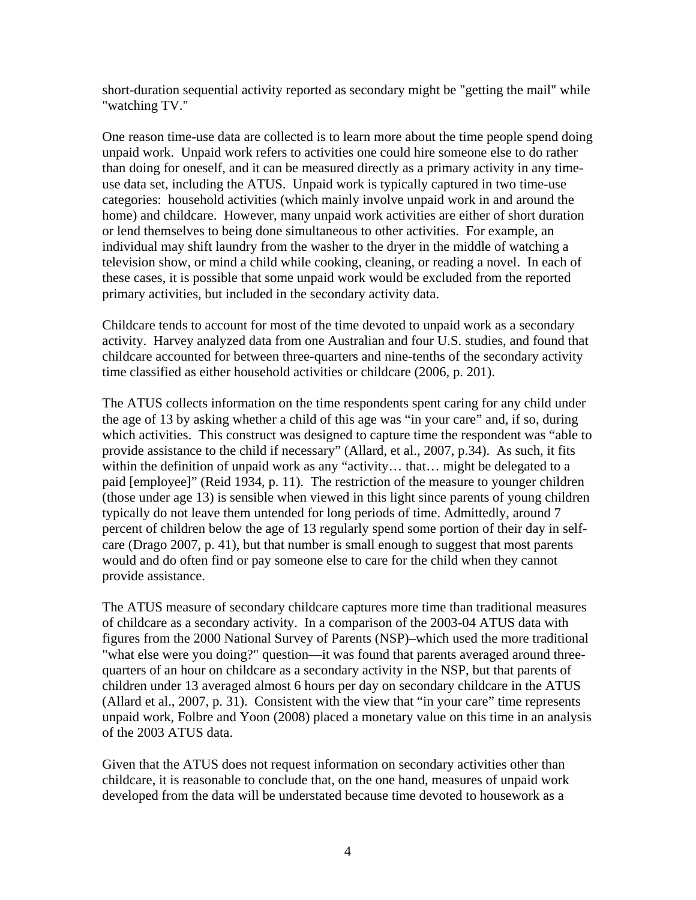short-duration sequential activity reported as secondary might be "getting the mail" while "watching TV."

One reason time-use data are collected is to learn more about the time people spend doing unpaid work. Unpaid work refers to activities one could hire someone else to do rather than doing for oneself, and it can be measured directly as a primary activity in any timeuse data set, including the ATUS. Unpaid work is typically captured in two time-use categories: household activities (which mainly involve unpaid work in and around the home) and childcare. However, many unpaid work activities are either of short duration or lend themselves to being done simultaneous to other activities. For example, an individual may shift laundry from the washer to the dryer in the middle of watching a television show, or mind a child while cooking, cleaning, or reading a novel. In each of these cases, it is possible that some unpaid work would be excluded from the reported primary activities, but included in the secondary activity data.

Childcare tends to account for most of the time devoted to unpaid work as a secondary activity. Harvey analyzed data from one Australian and four U.S. studies, and found that childcare accounted for between three-quarters and nine-tenths of the secondary activity time classified as either household activities or childcare (2006, p. 201).

The ATUS collects information on the time respondents spent caring for any child under the age of 13 by asking whether a child of this age was "in your care" and, if so, during which activities. This construct was designed to capture time the respondent was "able to provide assistance to the child if necessary" (Allard, et al., 2007, p.34). As such, it fits within the definition of unpaid work as any "activity... that... might be delegated to a paid [employee]" (Reid 1934, p. 11). The restriction of the measure to younger children (those under age 13) is sensible when viewed in this light since parents of young children typically do not leave them untended for long periods of time. Admittedly, around 7 percent of children below the age of 13 regularly spend some portion of their day in selfcare (Drago 2007, p. 41), but that number is small enough to suggest that most parents would and do often find or pay someone else to care for the child when they cannot provide assistance.

The ATUS measure of secondary childcare captures more time than traditional measures of childcare as a secondary activity. In a comparison of the 2003-04 ATUS data with figures from the 2000 National Survey of Parents (NSP)–which used the more traditional "what else were you doing?" question—it was found that parents averaged around threequarters of an hour on childcare as a secondary activity in the NSP, but that parents of children under 13 averaged almost 6 hours per day on secondary childcare in the ATUS (Allard et al., 2007, p. 31). Consistent with the view that "in your care" time represents unpaid work, Folbre and Yoon (2008) placed a monetary value on this time in an analysis of the 2003 ATUS data.

Given that the ATUS does not request information on secondary activities other than childcare, it is reasonable to conclude that, on the one hand, measures of unpaid work developed from the data will be understated because time devoted to housework as a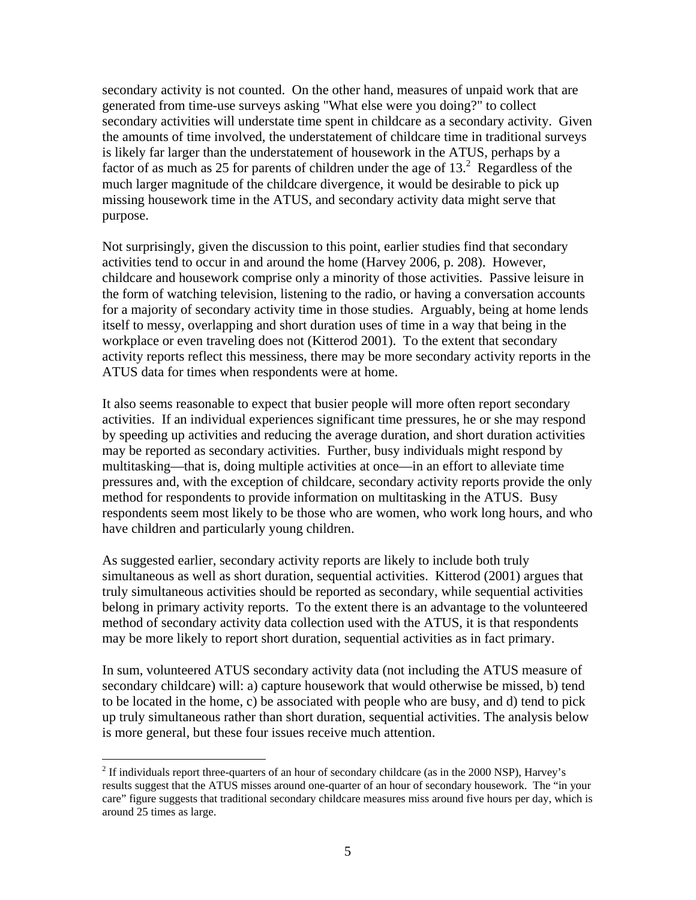secondary activity is not counted. On the other hand, measures of unpaid work that are generated from time-use surveys asking "What else were you doing?" to collect secondary activities will understate time spent in childcare as a secondary activity. Given the amounts of time involved, the understatement of childcare time in traditional surveys is likely far larger than the understatement of housework in the ATUS, perhaps by a factor of as much as 25 for parents of children under the age of  $13<sup>2</sup>$  Regardless of the much larger magnitude of the childcare divergence, it would be desirable to pick up missing housework time in the ATUS, and secondary activity data might serve that purpose.

Not surprisingly, given the discussion to this point, earlier studies find that secondary activities tend to occur in and around the home (Harvey 2006, p. 208). However, childcare and housework comprise only a minority of those activities. Passive leisure in the form of watching television, listening to the radio, or having a conversation accounts for a majority of secondary activity time in those studies. Arguably, being at home lends itself to messy, overlapping and short duration uses of time in a way that being in the workplace or even traveling does not (Kitterod 2001). To the extent that secondary activity reports reflect this messiness, there may be more secondary activity reports in the ATUS data for times when respondents were at home.

It also seems reasonable to expect that busier people will more often report secondary activities. If an individual experiences significant time pressures, he or she may respond by speeding up activities and reducing the average duration, and short duration activities may be reported as secondary activities. Further, busy individuals might respond by multitasking—that is, doing multiple activities at once—in an effort to alleviate time pressures and, with the exception of childcare, secondary activity reports provide the only method for respondents to provide information on multitasking in the ATUS. Busy respondents seem most likely to be those who are women, who work long hours, and who have children and particularly young children.

As suggested earlier, secondary activity reports are likely to include both truly simultaneous as well as short duration, sequential activities. Kitterod (2001) argues that truly simultaneous activities should be reported as secondary, while sequential activities belong in primary activity reports. To the extent there is an advantage to the volunteered method of secondary activity data collection used with the ATUS, it is that respondents may be more likely to report short duration, sequential activities as in fact primary.

In sum, volunteered ATUS secondary activity data (not including the ATUS measure of secondary childcare) will: a) capture housework that would otherwise be missed, b) tend to be located in the home, c) be associated with people who are busy, and d) tend to pick up truly simultaneous rather than short duration, sequential activities. The analysis below is more general, but these four issues receive much attention.

 $2^2$  If individuals report three-quarters of an hour of secondary childcare (as in the 2000 NSP), Harvey's results suggest that the ATUS misses around one-quarter of an hour of secondary housework. The "in your care" figure suggests that traditional secondary childcare measures miss around five hours per day, which is around 25 times as large.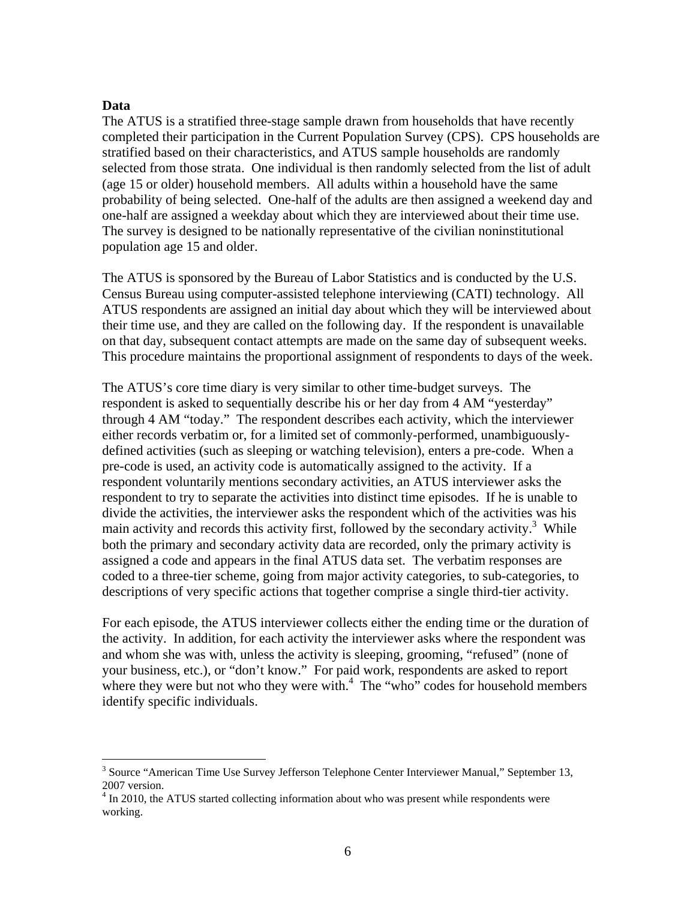#### **Data**

 $\overline{a}$ 

The ATUS is a stratified three-stage sample drawn from households that have recently completed their participation in the Current Population Survey (CPS). CPS households are stratified based on their characteristics, and ATUS sample households are randomly selected from those strata. One individual is then randomly selected from the list of adult (age 15 or older) household members. All adults within a household have the same probability of being selected. One-half of the adults are then assigned a weekend day and one-half are assigned a weekday about which they are interviewed about their time use. The survey is designed to be nationally representative of the civilian noninstitutional population age 15 and older.

The ATUS is sponsored by the Bureau of Labor Statistics and is conducted by the U.S. Census Bureau using computer-assisted telephone interviewing (CATI) technology. All ATUS respondents are assigned an initial day about which they will be interviewed about their time use, and they are called on the following day. If the respondent is unavailable on that day, subsequent contact attempts are made on the same day of subsequent weeks. This procedure maintains the proportional assignment of respondents to days of the week.

The ATUS's core time diary is very similar to other time-budget surveys. The respondent is asked to sequentially describe his or her day from 4 AM "yesterday" through 4 AM "today." The respondent describes each activity, which the interviewer either records verbatim or, for a limited set of commonly-performed, unambiguouslydefined activities (such as sleeping or watching television), enters a pre-code. When a pre-code is used, an activity code is automatically assigned to the activity. If a respondent voluntarily mentions secondary activities, an ATUS interviewer asks the respondent to try to separate the activities into distinct time episodes. If he is unable to divide the activities, the interviewer asks the respondent which of the activities was his main activity and records this activity first, followed by the secondary activity.<sup>3</sup> While both the primary and secondary activity data are recorded, only the primary activity is assigned a code and appears in the final ATUS data set. The verbatim responses are coded to a three-tier scheme, going from major activity categories, to sub-categories, to descriptions of very specific actions that together comprise a single third-tier activity.

For each episode, the ATUS interviewer collects either the ending time or the duration of the activity. In addition, for each activity the interviewer asks where the respondent was and whom she was with, unless the activity is sleeping, grooming, "refused" (none of your business, etc.), or "don't know." For paid work, respondents are asked to report where they were but not who they were with. $4$  The "who" codes for household members identify specific individuals.

<sup>&</sup>lt;sup>3</sup> Source "American Time Use Survey Jefferson Telephone Center Interviewer Manual," September 13, 2007 version.

<sup>&</sup>lt;sup>4</sup> In 2010, the ATUS started collecting information about who was present while respondents were working.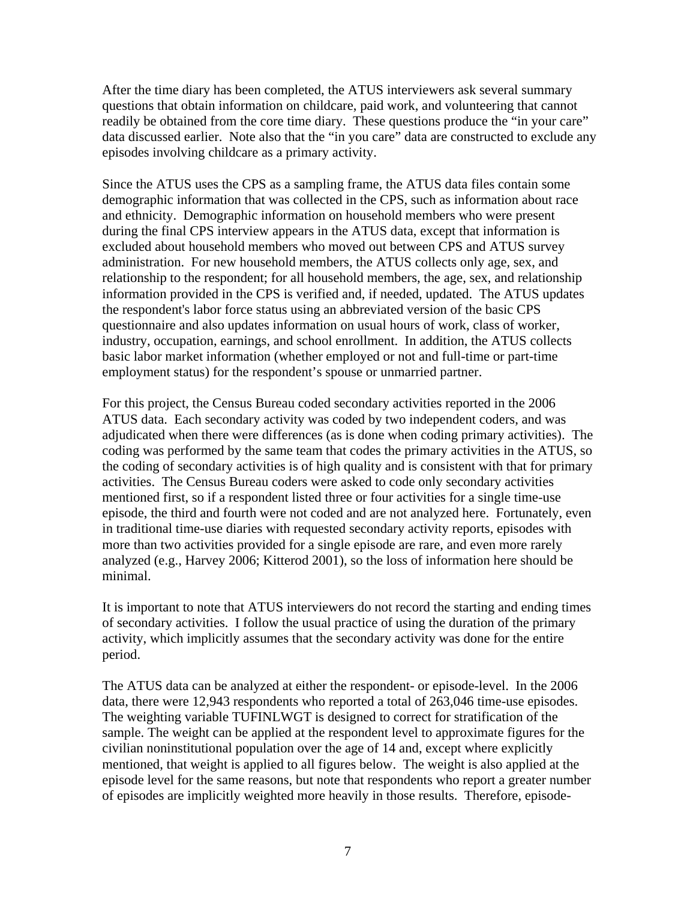After the time diary has been completed, the ATUS interviewers ask several summary questions that obtain information on childcare, paid work, and volunteering that cannot readily be obtained from the core time diary. These questions produce the "in your care" data discussed earlier. Note also that the "in you care" data are constructed to exclude any episodes involving childcare as a primary activity.

Since the ATUS uses the CPS as a sampling frame, the ATUS data files contain some demographic information that was collected in the CPS, such as information about race and ethnicity. Demographic information on household members who were present during the final CPS interview appears in the ATUS data, except that information is excluded about household members who moved out between CPS and ATUS survey administration. For new household members, the ATUS collects only age, sex, and relationship to the respondent; for all household members, the age, sex, and relationship information provided in the CPS is verified and, if needed, updated. The ATUS updates the respondent's labor force status using an abbreviated version of the basic CPS questionnaire and also updates information on usual hours of work, class of worker, industry, occupation, earnings, and school enrollment. In addition, the ATUS collects basic labor market information (whether employed or not and full-time or part-time employment status) for the respondent's spouse or unmarried partner.

For this project, the Census Bureau coded secondary activities reported in the 2006 ATUS data. Each secondary activity was coded by two independent coders, and was adjudicated when there were differences (as is done when coding primary activities). The coding was performed by the same team that codes the primary activities in the ATUS, so the coding of secondary activities is of high quality and is consistent with that for primary activities. The Census Bureau coders were asked to code only secondary activities mentioned first, so if a respondent listed three or four activities for a single time-use episode, the third and fourth were not coded and are not analyzed here. Fortunately, even in traditional time-use diaries with requested secondary activity reports, episodes with more than two activities provided for a single episode are rare, and even more rarely analyzed (e.g., Harvey 2006; Kitterod 2001), so the loss of information here should be minimal.

It is important to note that ATUS interviewers do not record the starting and ending times of secondary activities. I follow the usual practice of using the duration of the primary activity, which implicitly assumes that the secondary activity was done for the entire period.

The ATUS data can be analyzed at either the respondent- or episode-level. In the 2006 data, there were 12,943 respondents who reported a total of 263,046 time-use episodes. The weighting variable TUFINLWGT is designed to correct for stratification of the sample. The weight can be applied at the respondent level to approximate figures for the civilian noninstitutional population over the age of 14 and, except where explicitly mentioned, that weight is applied to all figures below. The weight is also applied at the episode level for the same reasons, but note that respondents who report a greater number of episodes are implicitly weighted more heavily in those results. Therefore, episode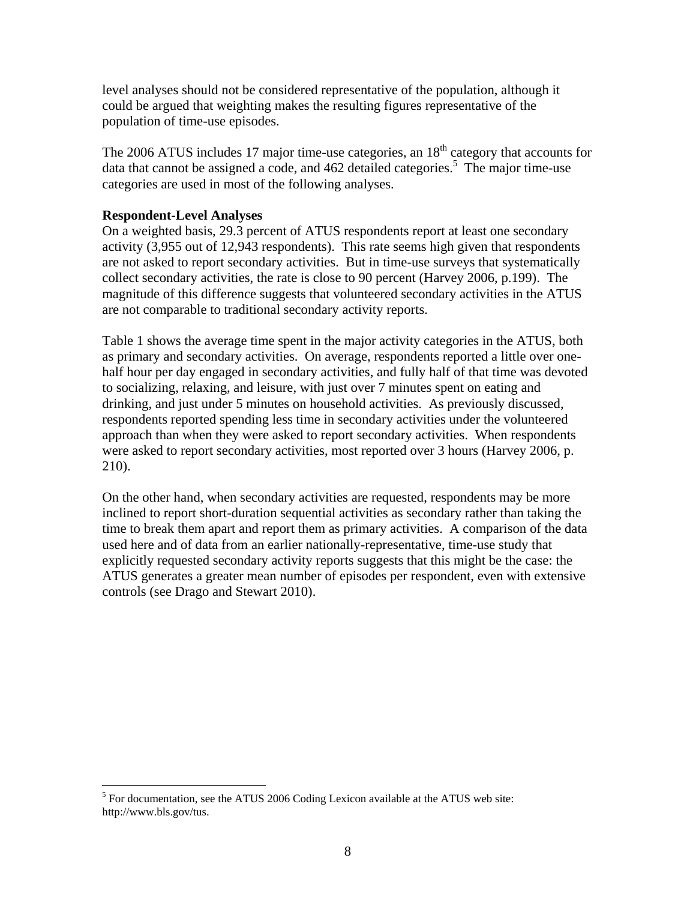level analyses should not be considered representative of the population, although it could be argued that weighting makes the resulting figures representative of the population of time-use episodes.

The 2006 ATUS includes 17 major time-use categories, an  $18<sup>th</sup>$  category that accounts for data that cannot be assigned a code, and 462 detailed categories.<sup>5</sup> The major time-use categories are used in most of the following analyses.

### **Respondent-Level Analyses**

 $\overline{a}$ 

On a weighted basis, 29.3 percent of ATUS respondents report at least one secondary activity (3,955 out of 12,943 respondents). This rate seems high given that respondents are not asked to report secondary activities. But in time-use surveys that systematically collect secondary activities, the rate is close to 90 percent (Harvey 2006, p.199). The magnitude of this difference suggests that volunteered secondary activities in the ATUS are not comparable to traditional secondary activity reports.

Table 1 shows the average time spent in the major activity categories in the ATUS, both as primary and secondary activities. On average, respondents reported a little over onehalf hour per day engaged in secondary activities, and fully half of that time was devoted to socializing, relaxing, and leisure, with just over 7 minutes spent on eating and drinking, and just under 5 minutes on household activities. As previously discussed, respondents reported spending less time in secondary activities under the volunteered approach than when they were asked to report secondary activities. When respondents were asked to report secondary activities, most reported over 3 hours (Harvey 2006, p. 210).

On the other hand, when secondary activities are requested, respondents may be more inclined to report short-duration sequential activities as secondary rather than taking the time to break them apart and report them as primary activities. A comparison of the data used here and of data from an earlier nationally-representative, time-use study that explicitly requested secondary activity reports suggests that this might be the case: the ATUS generates a greater mean number of episodes per respondent, even with extensive controls (see Drago and Stewart 2010).

 $<sup>5</sup>$  For documentation, see the ATUS 2006 Coding Lexicon available at the ATUS web site:</sup> http://www.bls.gov/tus.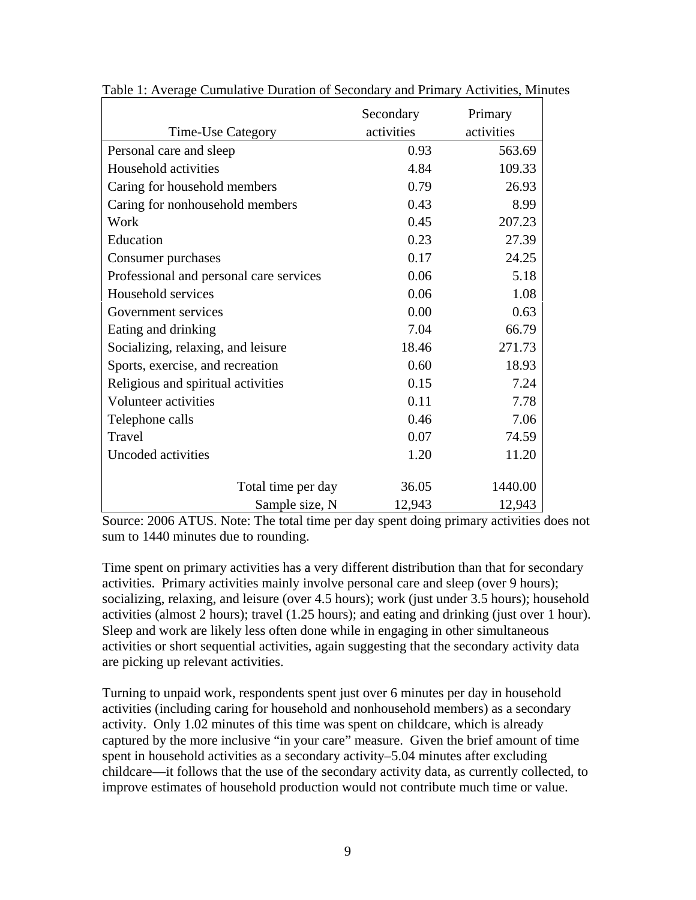|                                         | Secondary  | Primary    |
|-----------------------------------------|------------|------------|
| Time-Use Category                       | activities | activities |
| Personal care and sleep                 | 0.93       | 563.69     |
| Household activities                    | 4.84       | 109.33     |
| Caring for household members            | 0.79       | 26.93      |
| Caring for nonhousehold members         | 0.43       | 8.99       |
| Work                                    | 0.45       | 207.23     |
| Education                               | 0.23       | 27.39      |
| Consumer purchases                      | 0.17       | 24.25      |
| Professional and personal care services | 0.06       | 5.18       |
| Household services                      | 0.06       | 1.08       |
| Government services                     | 0.00       | 0.63       |
| Eating and drinking                     | 7.04       | 66.79      |
| Socializing, relaxing, and leisure      | 18.46      | 271.73     |
| Sports, exercise, and recreation        | 0.60       | 18.93      |
| Religious and spiritual activities      | 0.15       | 7.24       |
| Volunteer activities                    | 0.11       | 7.78       |
| Telephone calls                         | 0.46       | 7.06       |
| Travel                                  | 0.07       | 74.59      |
| Uncoded activities                      | 1.20       | 11.20      |
| Total time per day                      | 36.05      | 1440.00    |
| Sample size, N                          | 12,943     | 12,943     |

Table 1: Average Cumulative Duration of Secondary and Primary Activities, Minutes

Source: 2006 ATUS. Note: The total time per day spent doing primary activities does not sum to 1440 minutes due to rounding.

Time spent on primary activities has a very different distribution than that for secondary activities. Primary activities mainly involve personal care and sleep (over 9 hours); socializing, relaxing, and leisure (over 4.5 hours); work (just under 3.5 hours); household activities (almost 2 hours); travel (1.25 hours); and eating and drinking (just over 1 hour). Sleep and work are likely less often done while in engaging in other simultaneous activities or short sequential activities, again suggesting that the secondary activity data are picking up relevant activities.

Turning to unpaid work, respondents spent just over 6 minutes per day in household activities (including caring for household and nonhousehold members) as a secondary activity. Only 1.02 minutes of this time was spent on childcare, which is already captured by the more inclusive "in your care" measure. Given the brief amount of time spent in household activities as a secondary activity–5.04 minutes after excluding childcare—it follows that the use of the secondary activity data, as currently collected, to improve estimates of household production would not contribute much time or value.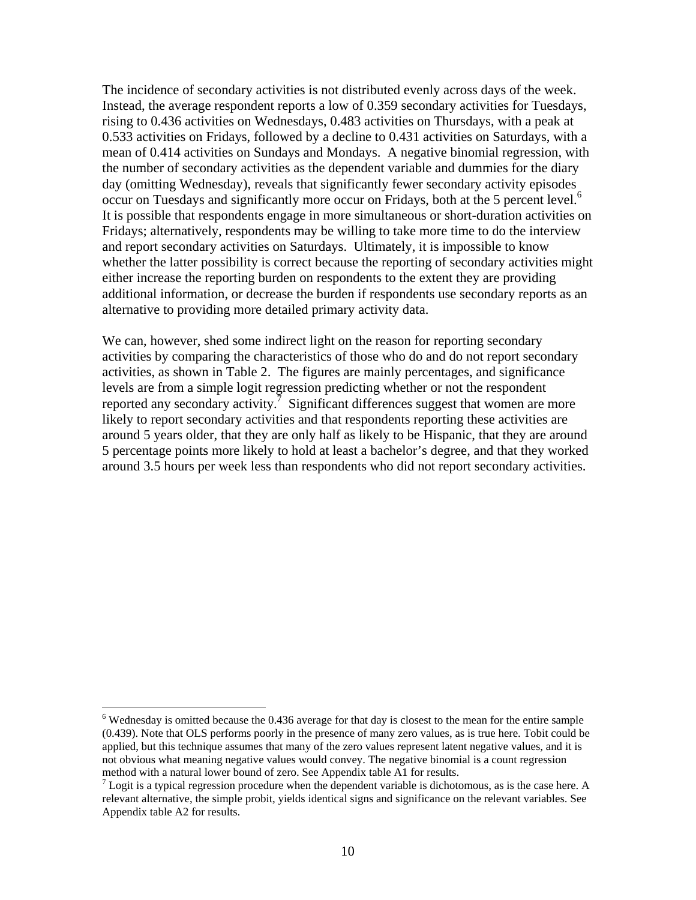The incidence of secondary activities is not distributed evenly across days of the week. Instead, the average respondent reports a low of 0.359 secondary activities for Tuesdays, rising to 0.436 activities on Wednesdays, 0.483 activities on Thursdays, with a peak at 0.533 activities on Fridays, followed by a decline to 0.431 activities on Saturdays, with a mean of 0.414 activities on Sundays and Mondays. A negative binomial regression, with the number of secondary activities as the dependent variable and dummies for the diary day (omitting Wednesday), reveals that significantly fewer secondary activity episodes occur on Tuesdays and significantly more occur on Fridays, both at the 5 percent level.<sup>6</sup> It is possible that respondents engage in more simultaneous or short-duration activities on Fridays; alternatively, respondents may be willing to take more time to do the interview and report secondary activities on Saturdays. Ultimately, it is impossible to know whether the latter possibility is correct because the reporting of secondary activities might either increase the reporting burden on respondents to the extent they are providing additional information, or decrease the burden if respondents use secondary reports as an alternative to providing more detailed primary activity data.

We can, however, shed some indirect light on the reason for reporting secondary activities by comparing the characteristics of those who do and do not report secondary activities, as shown in Table 2. The figures are mainly percentages, and significance levels are from a simple logit regression predicting whether or not the respondent reported any secondary activity.<sup>7</sup> Significant differences suggest that women are more likely to report secondary activities and that respondents reporting these activities are around 5 years older, that they are only half as likely to be Hispanic, that they are around 5 percentage points more likely to hold at least a bachelor's degree, and that they worked around 3.5 hours per week less than respondents who did not report secondary activities.

 $6$  Wednesday is omitted because the 0.436 average for that day is closest to the mean for the entire sample (0.439). Note that OLS performs poorly in the presence of many zero values, as is true here. Tobit could be applied, but this technique assumes that many of the zero values represent latent negative values, and it is not obvious what meaning negative values would convey. The negative binomial is a count regression method with a natural lower bound of zero. See Appendix table A1 for results.

 $<sup>7</sup>$  Logit is a typical regression procedure when the dependent variable is dichotomous, as is the case here. A</sup> relevant alternative, the simple probit, yields identical signs and significance on the relevant variables. See Appendix table A2 for results.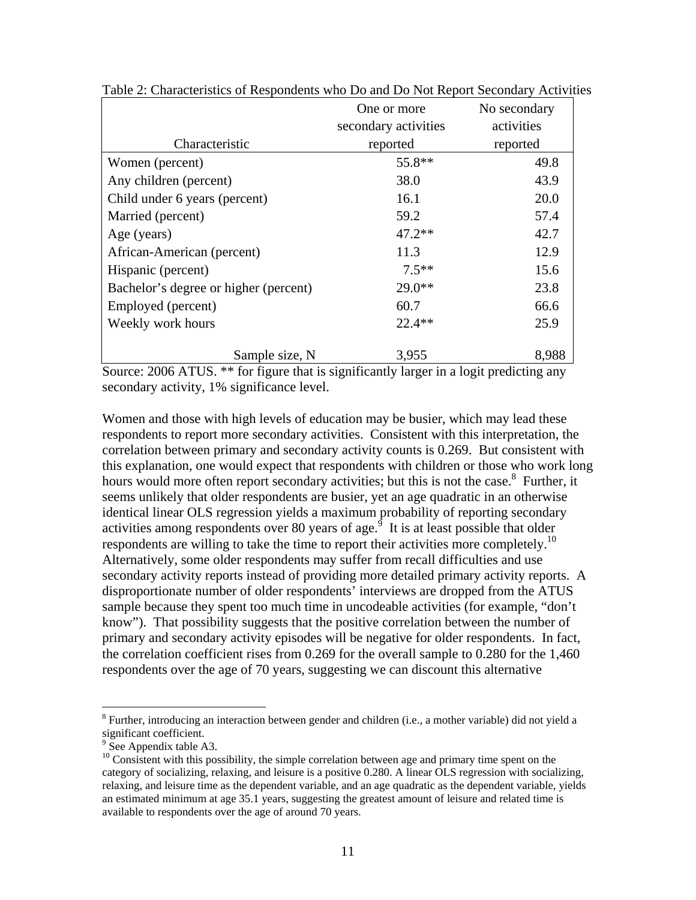|                                                                         | One or more                             | No secondary         |
|-------------------------------------------------------------------------|-----------------------------------------|----------------------|
|                                                                         | secondary activities                    | activities           |
| Characteristic                                                          | reported                                | reported             |
| Women (percent)                                                         | 55.8**                                  | 49.8                 |
| Any children (percent)                                                  | 38.0                                    | 43.9                 |
| Child under 6 years (percent)                                           | 16.1                                    | 20.0                 |
| Married (percent)                                                       | 59.2                                    | 57.4                 |
| Age (years)                                                             | $47.2**$                                | 42.7                 |
| African-American (percent)                                              | 11.3                                    | 12.9                 |
| Hispanic (percent)                                                      | $7.5**$                                 | 15.6                 |
| Bachelor's degree or higher (percent)                                   | $29.0**$                                | 23.8                 |
| Employed (percent)                                                      | 60.7                                    | 66.6                 |
| Weekly work hours                                                       | $22.4**$                                | 25.9                 |
| Sample size, N<br>$\sim$<br>$\sim$<br>$A \cap A \subset A$ metropolitic | 3,955<br>$\cdot$ $\sim$<br>$\mathbf{1}$ | 8,988<br>$\bullet$ . |

Table 2: Characteristics of Respondents who Do and Do Not Report Secondary Activities

Source: 2006 ATUS. \*\* for figure that is significantly larger in a logit predicting any secondary activity, 1% significance level.

Women and those with high levels of education may be busier, which may lead these respondents to report more secondary activities. Consistent with this interpretation, the correlation between primary and secondary activity counts is 0.269. But consistent with this explanation, one would expect that respondents with children or those who work long hours would more often report secondary activities; but this is not the case.<sup>8</sup> Further, it seems unlikely that older respondents are busier, yet an age quadratic in an otherwise identical linear OLS regression yields a maximum probability of reporting secondary activities among respondents over 80 years of age.<sup> $\overline{9}$ </sup> It is at least possible that older respondents are willing to take the time to report their activities more completely.<sup>10</sup> Alternatively, some older respondents may suffer from recall difficulties and use secondary activity reports instead of providing more detailed primary activity reports. A disproportionate number of older respondents' interviews are dropped from the ATUS sample because they spent too much time in uncodeable activities (for example, "don't know"). That possibility suggests that the positive correlation between the number of primary and secondary activity episodes will be negative for older respondents. In fact, the correlation coefficient rises from 0.269 for the overall sample to 0.280 for the 1,460 respondents over the age of 70 years, suggesting we can discount this alternative

<sup>&</sup>lt;sup>8</sup> Further, introducing an interaction between gender and children (i.e., a mother variable) did not yield a significant coefficient.

<sup>&</sup>lt;sup>9</sup> See Appendix table A3.

<sup>&</sup>lt;sup>10</sup> Consistent with this possibility, the simple correlation between age and primary time spent on the category of socializing, relaxing, and leisure is a positive 0.280. A linear OLS regression with socializing, relaxing, and leisure time as the dependent variable, and an age quadratic as the dependent variable, yields an estimated minimum at age 35.1 years, suggesting the greatest amount of leisure and related time is available to respondents over the age of around 70 years.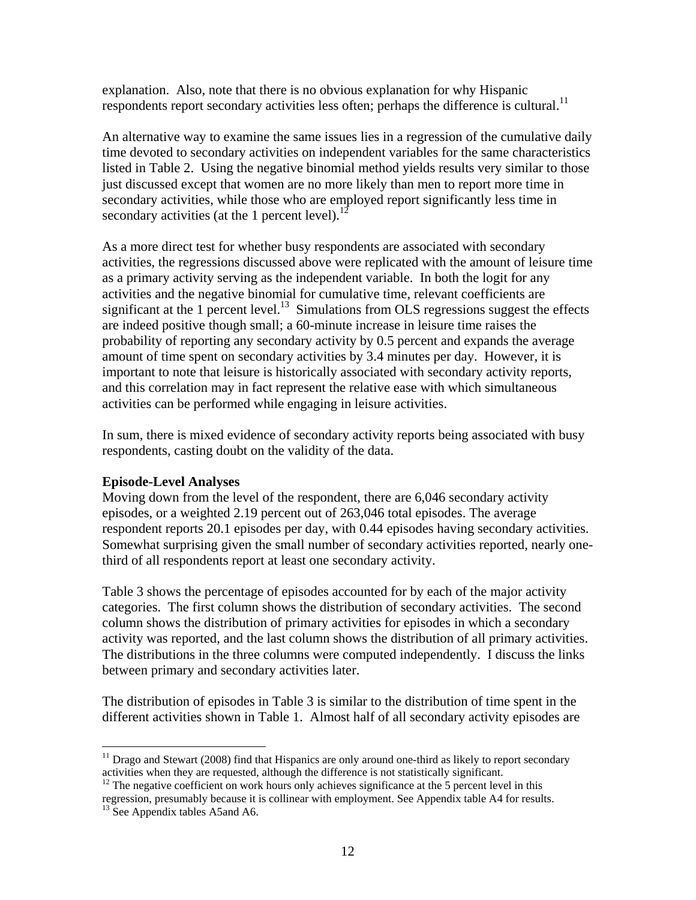explanation. Also, note that there is no obvious explanation for why Hispanic respondents report secondary activities less often; perhaps the difference is cultural.<sup>11</sup>

An alternative way to examine the same issues lies in a regression of the cumulative daily time devoted to secondary activities on independent variables for the same characteristics listed in Table 2. Using the negative binomial method yields results very similar to those just discussed except that women are no more likely than men to report more time in secondary activities, while those who are employed report significantly less time in secondary activities (at the 1 percent level). $^{12}$ 

As a more direct test for whether busy respondents are associated with secondary activities, the regressions discussed above were replicated with the amount of leisure time as a primary activity serving as the independent variable. In both the logit for any activities and the negative binomial for cumulative time, relevant coefficients are significant at the 1 percent level.<sup>13</sup> Simulations from OLS regressions suggest the effects are indeed positive though small; a 60-minute increase in leisure time raises the probability of reporting any secondary activity by 0.5 percent and expands the average amount of time spent on secondary activities by 3.4 minutes per day. However, it is important to note that leisure is historically associated with secondary activity reports, and this correlation may in fact represent the relative ease with which simultaneous activities can be performed while engaging in leisure activities.

In sum, there is mixed evidence of secondary activity reports being associated with busy respondents, casting doubt on the validity of the data.

### **Episode-Level Analyses**

Moving down from the level of the respondent, there are 6,046 secondary activity episodes, or a weighted 2.19 percent out of 263,046 total episodes. The average respondent reports 20.1 episodes per day, with 0.44 episodes having secondary activities. Somewhat surprising given the small number of secondary activities reported, nearly onethird of all respondents report at least one secondary activity.

Table 3 shows the percentage of episodes accounted for by each of the major activity categories. The first column shows the distribution of secondary activities. The second column shows the distribution of primary activities for episodes in which a secondary activity was reported, and the last column shows the distribution of all primary activities. The distributions in the three columns were computed independently. I discuss the links between primary and secondary activities later.

The distribution of episodes in Table 3 is similar to the distribution of time spent in the different activities shown in Table 1. Almost half of all secondary activity episodes are

<sup>&</sup>lt;sup>11</sup> Drago and Stewart (2008) find that Hispanics are only around one-third as likely to report secondary activities when they are requested, although the difference is not statistically significant.<br><sup>12</sup> The negative coefficient on work hours only achieves significance at the 5 percent level in this

regression, presumably because it is collinear with employment. See Appendix table A4 for results. 13 See Appendix tables A5and A6.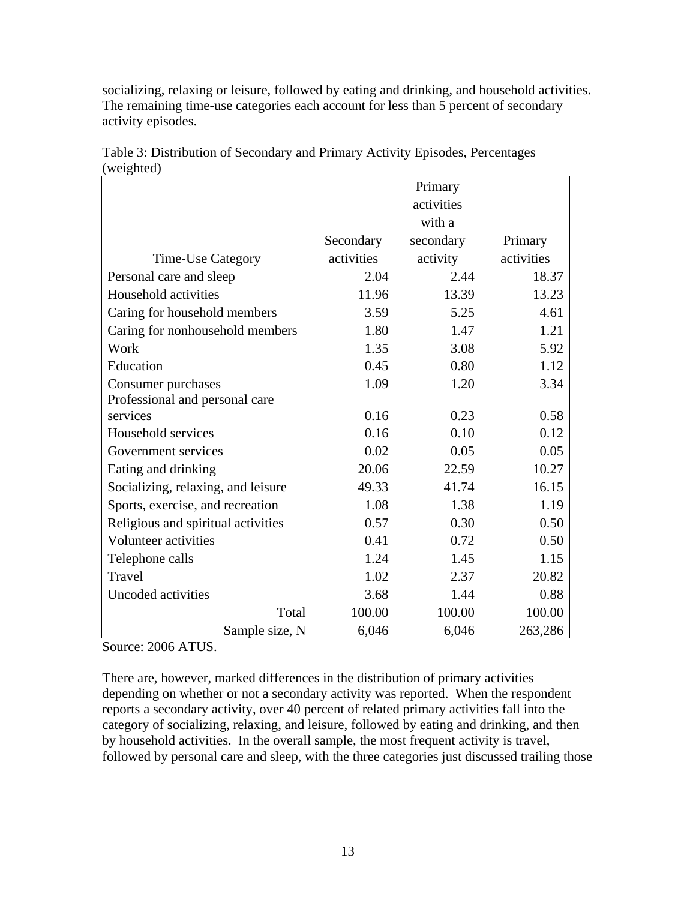| $(w$ Cignica)                      |            | Primary    |            |
|------------------------------------|------------|------------|------------|
|                                    |            | activities |            |
|                                    |            | with a     |            |
|                                    | Secondary  | secondary  | Primary    |
| Time-Use Category                  | activities | activity   | activities |
| Personal care and sleep            | 2.04       | 2.44       | 18.37      |
| Household activities               | 11.96      | 13.39      | 13.23      |
| Caring for household members       | 3.59       | 5.25       | 4.61       |
| Caring for nonhousehold members    | 1.80       | 1.47       | 1.21       |
| Work                               | 1.35       | 3.08       | 5.92       |
| Education                          | 0.45       | 0.80       | 1.12       |
| Consumer purchases                 | 1.09       | 1.20       | 3.34       |
| Professional and personal care     |            |            |            |
| services                           | 0.16       | 0.23       | 0.58       |
| Household services                 | 0.16       | 0.10       | 0.12       |
| Government services                | 0.02       | 0.05       | 0.05       |
| Eating and drinking                | 20.06      | 22.59      | 10.27      |
| Socializing, relaxing, and leisure | 49.33      | 41.74      | 16.15      |
| Sports, exercise, and recreation   | 1.08       | 1.38       | 1.19       |
| Religious and spiritual activities | 0.57       | 0.30       | 0.50       |
| Volunteer activities               | 0.41       | 0.72       | 0.50       |
| Telephone calls                    | 1.24       | 1.45       | 1.15       |
| Travel                             | 1.02       | 2.37       | 20.82      |
| Uncoded activities                 | 3.68       | 1.44       | 0.88       |
| Total                              | 100.00     | 100.00     | 100.00     |
| Sample size, N                     | 6,046      | 6,046      | 263,286    |

Table 3: Distribution of Secondary and Primary Activity Episodes, Percentages  $(weichted)$ 

socializing, relaxing or leisure, followed by eating and drinking, and household activities. The remaining time-use categories each account for less than 5 percent of secondary

Source: 2006 ATUS.

activity episodes.

There are, however, marked differences in the distribution of primary activities depending on whether or not a secondary activity was reported. When the respondent reports a secondary activity, over 40 percent of related primary activities fall into the category of socializing, relaxing, and leisure, followed by eating and drinking, and then by household activities. In the overall sample, the most frequent activity is travel, followed by personal care and sleep, with the three categories just discussed trailing those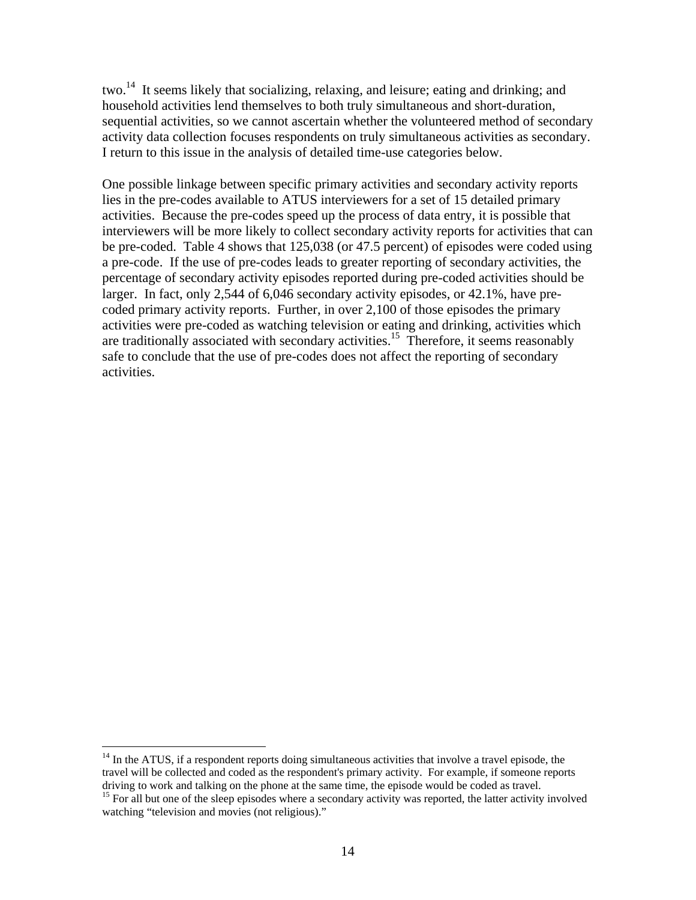two.<sup>14</sup> It seems likely that socializing, relaxing, and leisure; eating and drinking; and household activities lend themselves to both truly simultaneous and short-duration, sequential activities, so we cannot ascertain whether the volunteered method of secondary activity data collection focuses respondents on truly simultaneous activities as secondary. I return to this issue in the analysis of detailed time-use categories below.

One possible linkage between specific primary activities and secondary activity reports lies in the pre-codes available to ATUS interviewers for a set of 15 detailed primary activities. Because the pre-codes speed up the process of data entry, it is possible that interviewers will be more likely to collect secondary activity reports for activities that can be pre-coded. Table 4 shows that 125,038 (or 47.5 percent) of episodes were coded using a pre-code. If the use of pre-codes leads to greater reporting of secondary activities, the percentage of secondary activity episodes reported during pre-coded activities should be larger. In fact, only 2,544 of 6,046 secondary activity episodes, or 42.1%, have precoded primary activity reports. Further, in over 2,100 of those episodes the primary activities were pre-coded as watching television or eating and drinking, activities which are traditionally associated with secondary activities.<sup>15</sup> Therefore, it seems reasonably safe to conclude that the use of pre-codes does not affect the reporting of secondary activities.

 $14$  In the ATUS, if a respondent reports doing simultaneous activities that involve a travel episode, the travel will be collected and coded as the respondent's primary activity. For example, if someone reports driving to work and talking on the phone at the same time, the episode would be coded as travel.

<sup>&</sup>lt;sup>15</sup> For all but one of the sleep episodes where a secondary activity was reported, the latter activity involved watching "television and movies (not religious)."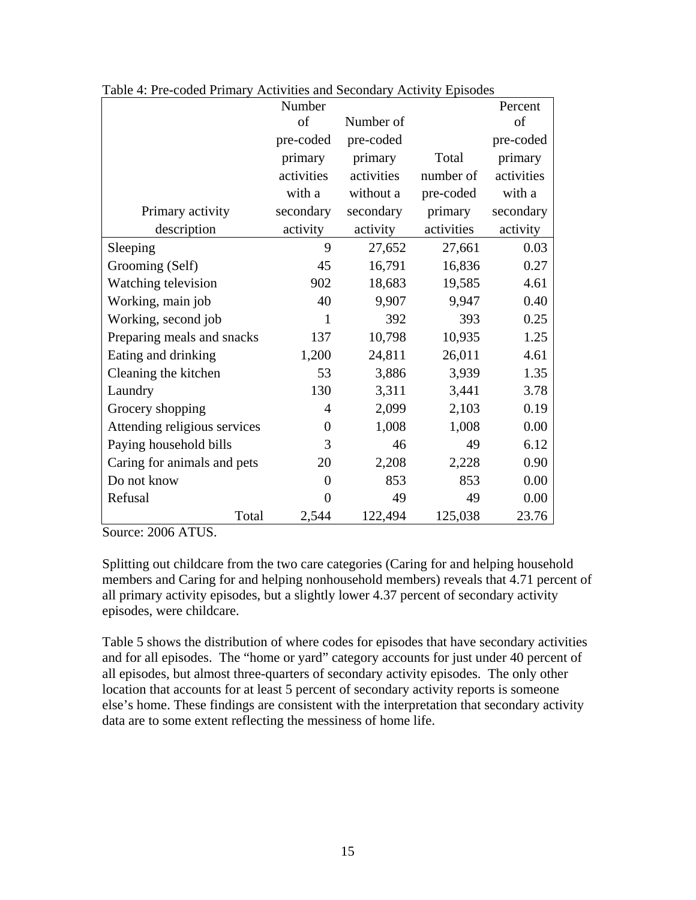|                              | Number         |            |            | Percent    |
|------------------------------|----------------|------------|------------|------------|
|                              | of             | Number of  |            | of         |
|                              | pre-coded      | pre-coded  |            | pre-coded  |
|                              | primary        | primary    | Total      | primary    |
|                              | activities     | activities | number of  | activities |
|                              | with a         | without a  | pre-coded  | with a     |
| Primary activity             | secondary      | secondary  | primary    | secondary  |
| description                  | activity       | activity   | activities | activity   |
| Sleeping                     | 9              | 27,652     | 27,661     | 0.03       |
| Grooming (Self)              | 45             | 16,791     | 16,836     | 0.27       |
| Watching television          | 902            | 18,683     | 19,585     | 4.61       |
| Working, main job            | 40             | 9,907      | 9,947      | 0.40       |
| Working, second job          | $\mathbf{1}$   | 392        | 393        | 0.25       |
| Preparing meals and snacks   | 137            | 10,798     | 10,935     | 1.25       |
| Eating and drinking          | 1,200          | 24,811     | 26,011     | 4.61       |
| Cleaning the kitchen         | 53             | 3,886      | 3,939      | 1.35       |
| Laundry                      | 130            | 3,311      | 3,441      | 3.78       |
| Grocery shopping             | 4              | 2,099      | 2,103      | 0.19       |
| Attending religious services | $\overline{0}$ | 1,008      | 1,008      | 0.00       |
| Paying household bills       | 3              | 46         | 49         | 6.12       |
| Caring for animals and pets  | 20             | 2,208      | 2,228      | 0.90       |
| Do not know                  | $\overline{0}$ | 853        | 853        | 0.00       |
| Refusal                      | $\Omega$       | 49         | 49         | 0.00       |
| Total                        | 2,544          | 122,494    | 125,038    | 23.76      |

Table 4: Pre-coded Primary Activities and Secondary Activity Episodes

Source: 2006 ATUS.

Splitting out childcare from the two care categories (Caring for and helping household members and Caring for and helping nonhousehold members) reveals that 4.71 percent of all primary activity episodes, but a slightly lower 4.37 percent of secondary activity episodes, were childcare.

Table 5 shows the distribution of where codes for episodes that have secondary activities and for all episodes. The "home or yard" category accounts for just under 40 percent of all episodes, but almost three-quarters of secondary activity episodes. The only other location that accounts for at least 5 percent of secondary activity reports is someone else's home. These findings are consistent with the interpretation that secondary activity data are to some extent reflecting the messiness of home life.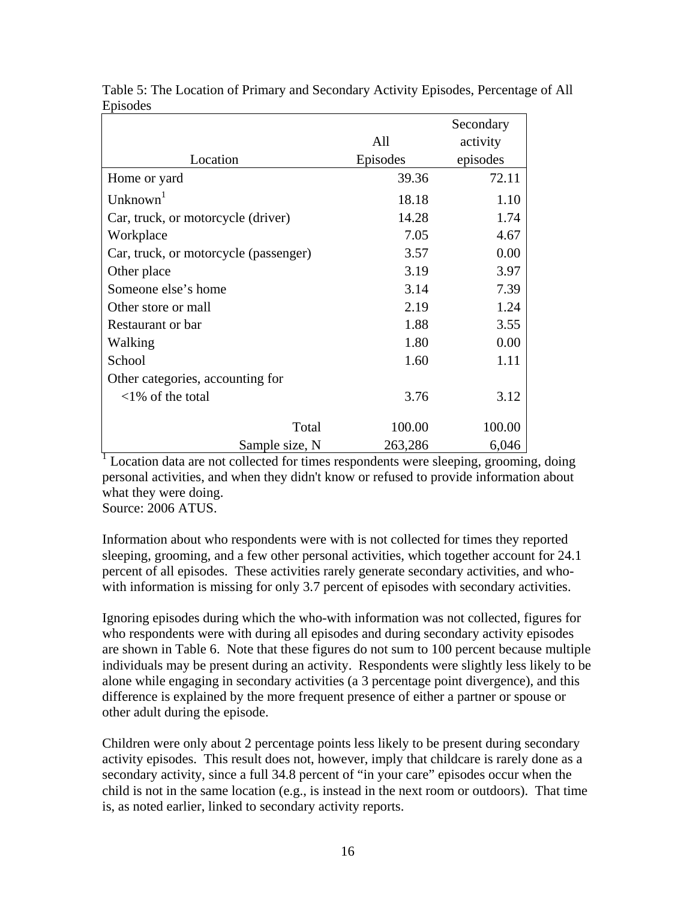|                                       |          | Secondary |
|---------------------------------------|----------|-----------|
|                                       | All      | activity  |
| Location                              | Episodes | episodes  |
| Home or yard                          | 39.36    | 72.11     |
| Unknown <sup>1</sup>                  | 18.18    | 1.10      |
| Car, truck, or motorcycle (driver)    | 14.28    | 1.74      |
| Workplace                             | 7.05     | 4.67      |
| Car, truck, or motorcycle (passenger) | 3.57     | 0.00      |
| Other place                           | 3.19     | 3.97      |
| Someone else's home                   | 3.14     | 7.39      |
| Other store or mall                   | 2.19     | 1.24      |
| Restaurant or bar                     | 1.88     | 3.55      |
| Walking                               | 1.80     | 0.00      |
| School                                | 1.60     | 1.11      |
| Other categories, accounting for      |          |           |
| $<1\%$ of the total                   | 3.76     | 3.12      |
| Total                                 | 100.00   | 100.00    |
| Sample size, N                        | 263,286  | 6,046     |

Table 5: The Location of Primary and Secondary Activity Episodes, Percentage of All Episodes

<sup>1</sup> Location data are not collected for times respondents were sleeping, grooming, doing personal activities, and when they didn't know or refused to provide information about what they were doing.

Source: 2006 ATUS.

Information about who respondents were with is not collected for times they reported sleeping, grooming, and a few other personal activities, which together account for 24.1 percent of all episodes. These activities rarely generate secondary activities, and whowith information is missing for only 3.7 percent of episodes with secondary activities.

Ignoring episodes during which the who-with information was not collected, figures for who respondents were with during all episodes and during secondary activity episodes are shown in Table 6. Note that these figures do not sum to 100 percent because multiple individuals may be present during an activity. Respondents were slightly less likely to be alone while engaging in secondary activities (a 3 percentage point divergence), and this difference is explained by the more frequent presence of either a partner or spouse or other adult during the episode.

Children were only about 2 percentage points less likely to be present during secondary activity episodes. This result does not, however, imply that childcare is rarely done as a secondary activity, since a full 34.8 percent of "in your care" episodes occur when the child is not in the same location (e.g., is instead in the next room or outdoors). That time is, as noted earlier, linked to secondary activity reports.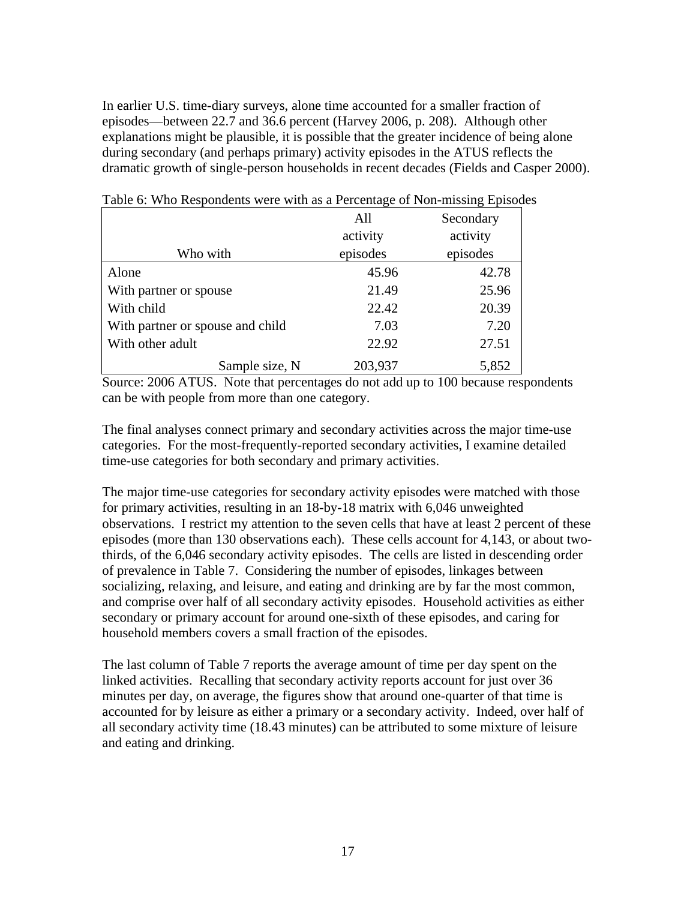In earlier U.S. time-diary surveys, alone time accounted for a smaller fraction of episodes—between 22.7 and 36.6 percent (Harvey 2006, p. 208). Although other explanations might be plausible, it is possible that the greater incidence of being alone during secondary (and perhaps primary) activity episodes in the ATUS reflects the dramatic growth of single-person households in recent decades (Fields and Casper 2000).

|                                  | All      | Secondary |
|----------------------------------|----------|-----------|
|                                  | activity | activity  |
| Who with                         | episodes | episodes  |
| Alone                            | 45.96    | 42.78     |
| With partner or spouse           | 21.49    | 25.96     |
| With child                       | 22.42    | 20.39     |
| With partner or spouse and child | 7.03     | 7.20      |
| With other adult                 | 22.92    | 27.51     |
| Sample size, N                   | 203,937  | 5,852     |

Table 6: Who Respondents were with as a Percentage of Non-missing Episodes

Source: 2006 ATUS. Note that percentages do not add up to 100 because respondents can be with people from more than one category.

The final analyses connect primary and secondary activities across the major time-use categories. For the most-frequently-reported secondary activities, I examine detailed time-use categories for both secondary and primary activities.

The major time-use categories for secondary activity episodes were matched with those for primary activities, resulting in an 18-by-18 matrix with 6,046 unweighted observations. I restrict my attention to the seven cells that have at least 2 percent of these episodes (more than 130 observations each). These cells account for 4,143, or about twothirds, of the 6,046 secondary activity episodes. The cells are listed in descending order of prevalence in Table 7. Considering the number of episodes, linkages between socializing, relaxing, and leisure, and eating and drinking are by far the most common, and comprise over half of all secondary activity episodes. Household activities as either secondary or primary account for around one-sixth of these episodes, and caring for household members covers a small fraction of the episodes.

The last column of Table 7 reports the average amount of time per day spent on the linked activities. Recalling that secondary activity reports account for just over 36 minutes per day, on average, the figures show that around one-quarter of that time is accounted for by leisure as either a primary or a secondary activity. Indeed, over half of all secondary activity time (18.43 minutes) can be attributed to some mixture of leisure and eating and drinking.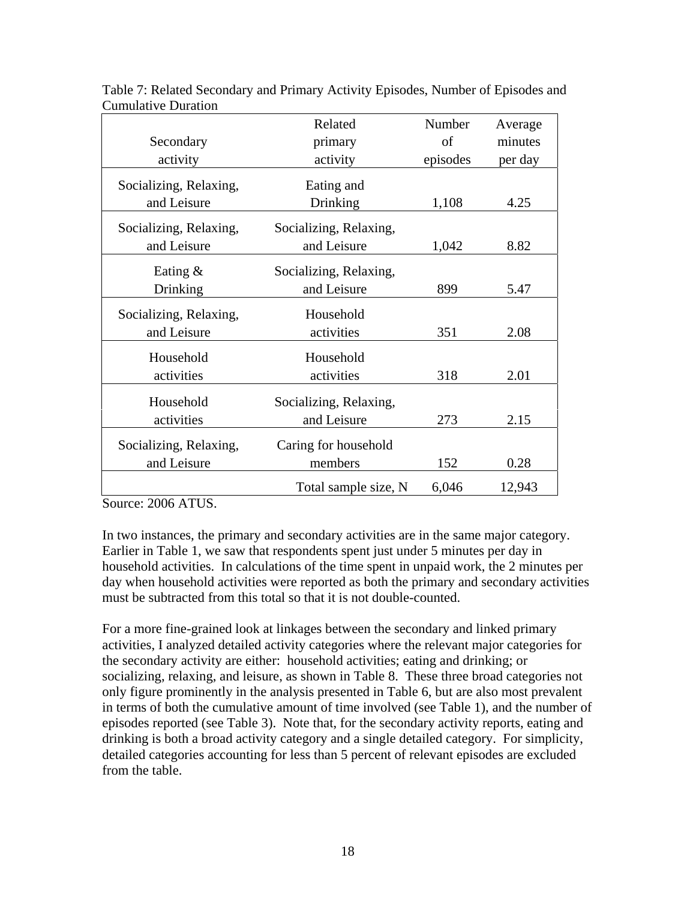|                        | Related                | Number   | Average |
|------------------------|------------------------|----------|---------|
| Secondary              | primary                | of       | minutes |
| activity               | activity               | episodes | per day |
| Socializing, Relaxing, | Eating and             |          |         |
| and Leisure            | <b>Drinking</b>        | 1,108    | 4.25    |
| Socializing, Relaxing, | Socializing, Relaxing, |          |         |
| and Leisure            | and Leisure            | 1,042    | 8.82    |
| Eating $\&$            | Socializing, Relaxing, |          |         |
| Drinking               | and Leisure            | 899      | 5.47    |
| Socializing, Relaxing, | Household              |          |         |
| and Leisure            | activities             | 351      | 2.08    |
| Household              | Household              |          |         |
| activities             | activities             | 318      | 2.01    |
| Household              | Socializing, Relaxing, |          |         |
| activities             | and Leisure            | 273      | 2.15    |
| Socializing, Relaxing, | Caring for household   |          |         |
| and Leisure            | members                | 152      | 0.28    |
|                        | Total sample size, N   | 6,046    | 12,943  |

Table 7: Related Secondary and Primary Activity Episodes, Number of Episodes and Cumulative Duration

Source: 2006 ATUS.

In two instances, the primary and secondary activities are in the same major category. Earlier in Table 1, we saw that respondents spent just under 5 minutes per day in household activities. In calculations of the time spent in unpaid work, the 2 minutes per day when household activities were reported as both the primary and secondary activities must be subtracted from this total so that it is not double-counted.

For a more fine-grained look at linkages between the secondary and linked primary activities, I analyzed detailed activity categories where the relevant major categories for the secondary activity are either: household activities; eating and drinking; or socializing, relaxing, and leisure, as shown in Table 8. These three broad categories not only figure prominently in the analysis presented in Table 6, but are also most prevalent in terms of both the cumulative amount of time involved (see Table 1), and the number of episodes reported (see Table 3). Note that, for the secondary activity reports, eating and drinking is both a broad activity category and a single detailed category. For simplicity, detailed categories accounting for less than 5 percent of relevant episodes are excluded from the table.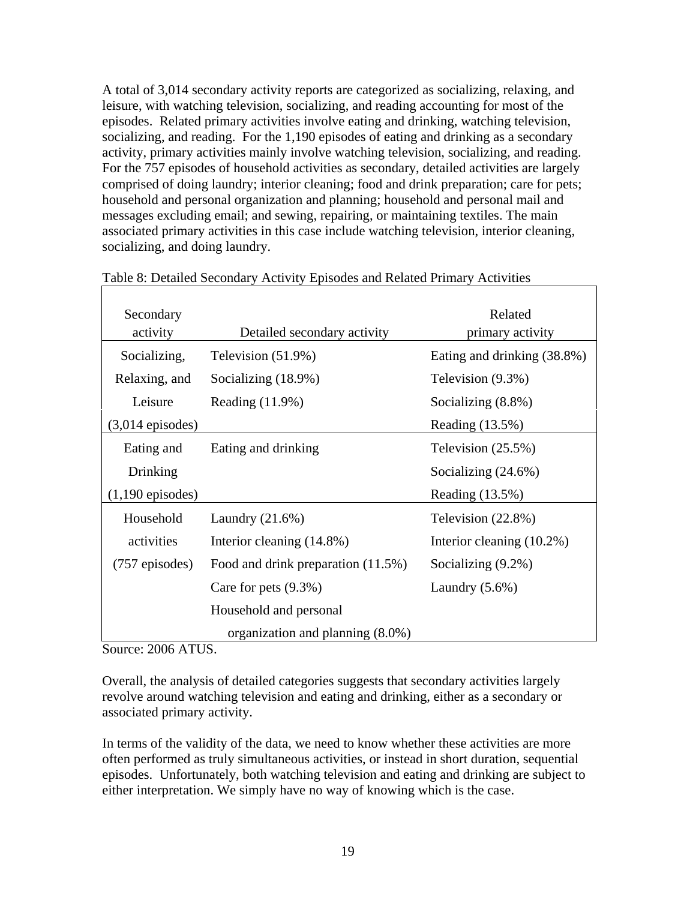A total of 3,014 secondary activity reports are categorized as socializing, relaxing, and leisure, with watching television, socializing, and reading accounting for most of the episodes. Related primary activities involve eating and drinking, watching television, socializing, and reading. For the 1,190 episodes of eating and drinking as a secondary activity, primary activities mainly involve watching television, socializing, and reading. For the 757 episodes of household activities as secondary, detailed activities are largely comprised of doing laundry; interior cleaning; food and drink preparation; care for pets; household and personal organization and planning; household and personal mail and messages excluding email; and sewing, repairing, or maintaining textiles. The main associated primary activities in this case include watching television, interior cleaning, socializing, and doing laundry.

| Secondary<br>activity      | Detailed secondary activity         | Related<br>primary activity |
|----------------------------|-------------------------------------|-----------------------------|
| Socializing,               | Television (51.9%)                  | Eating and drinking (38.8%) |
| Relaxing, and              | Socializing (18.9%)                 | Television (9.3%)           |
| Leisure                    | Reading $(11.9\%)$                  | Socializing $(8.8\%)$       |
| $(3,014 \text{ episodes})$ |                                     | Reading $(13.5%)$           |
| Eating and                 | Eating and drinking                 | Television $(25.5\%)$       |
| Drinking                   |                                     | Socializing $(24.6\%)$      |
| $(1,190 \text{ episodes})$ |                                     | Reading (13.5%)             |
| Household                  | Laundry $(21.6\%)$                  | Television $(22.8\%)$       |
| activities                 | Interior cleaning (14.8%)           | Interior cleaning (10.2%)   |
| $(757 \text{ episodes})$   | Food and drink preparation (11.5%)  | Socializing (9.2%)          |
|                            | Care for pets $(9.3\%)$             | Laundry $(5.6\%)$           |
|                            | Household and personal              |                             |
|                            | organization and planning $(8.0\%)$ |                             |

| Table 8: Detailed Secondary Activity Episodes and Related Primary Activities |  |  |  |  |  |  |  |  |
|------------------------------------------------------------------------------|--|--|--|--|--|--|--|--|
|------------------------------------------------------------------------------|--|--|--|--|--|--|--|--|

Source: 2006 ATUS.

Overall, the analysis of detailed categories suggests that secondary activities largely revolve around watching television and eating and drinking, either as a secondary or associated primary activity.

In terms of the validity of the data, we need to know whether these activities are more often performed as truly simultaneous activities, or instead in short duration, sequential episodes. Unfortunately, both watching television and eating and drinking are subject to either interpretation. We simply have no way of knowing which is the case.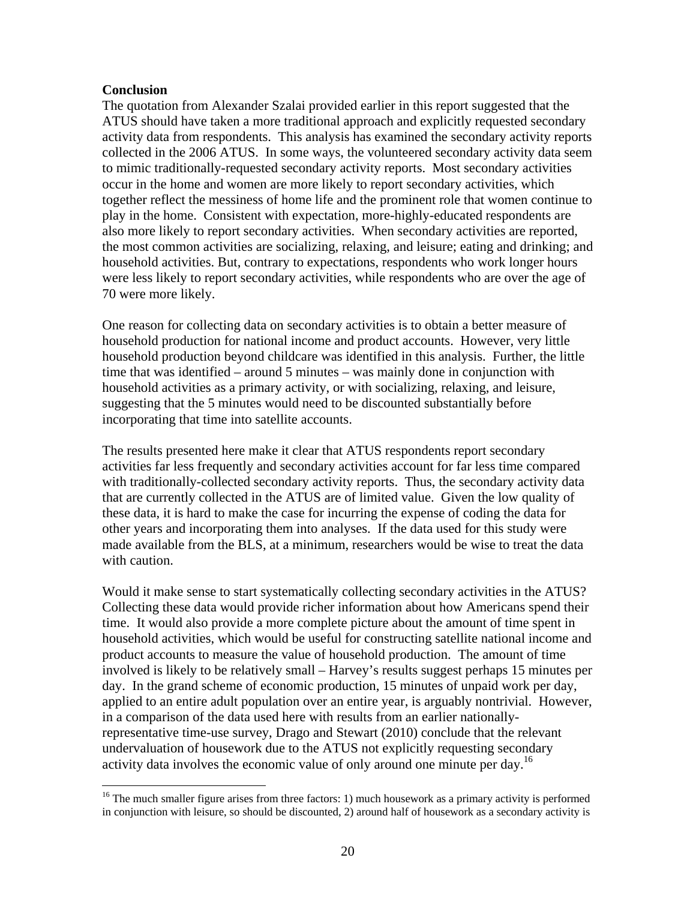#### **Conclusion**

 $\overline{a}$ 

The quotation from Alexander Szalai provided earlier in this report suggested that the ATUS should have taken a more traditional approach and explicitly requested secondary activity data from respondents. This analysis has examined the secondary activity reports collected in the 2006 ATUS. In some ways, the volunteered secondary activity data seem to mimic traditionally-requested secondary activity reports. Most secondary activities occur in the home and women are more likely to report secondary activities, which together reflect the messiness of home life and the prominent role that women continue to play in the home. Consistent with expectation, more-highly-educated respondents are also more likely to report secondary activities. When secondary activities are reported, the most common activities are socializing, relaxing, and leisure; eating and drinking; and household activities. But, contrary to expectations, respondents who work longer hours were less likely to report secondary activities, while respondents who are over the age of 70 were more likely.

One reason for collecting data on secondary activities is to obtain a better measure of household production for national income and product accounts. However, very little household production beyond childcare was identified in this analysis. Further, the little time that was identified – around 5 minutes – was mainly done in conjunction with household activities as a primary activity, or with socializing, relaxing, and leisure, suggesting that the 5 minutes would need to be discounted substantially before incorporating that time into satellite accounts.

The results presented here make it clear that ATUS respondents report secondary activities far less frequently and secondary activities account for far less time compared with traditionally-collected secondary activity reports. Thus, the secondary activity data that are currently collected in the ATUS are of limited value. Given the low quality of these data, it is hard to make the case for incurring the expense of coding the data for other years and incorporating them into analyses. If the data used for this study were made available from the BLS, at a minimum, researchers would be wise to treat the data with caution.

Would it make sense to start systematically collecting secondary activities in the ATUS? Collecting these data would provide richer information about how Americans spend their time. It would also provide a more complete picture about the amount of time spent in household activities, which would be useful for constructing satellite national income and product accounts to measure the value of household production. The amount of time involved is likely to be relatively small – Harvey's results suggest perhaps 15 minutes per day. In the grand scheme of economic production, 15 minutes of unpaid work per day, applied to an entire adult population over an entire year, is arguably nontrivial. However, in a comparison of the data used here with results from an earlier nationallyrepresentative time-use survey, Drago and Stewart (2010) conclude that the relevant undervaluation of housework due to the ATUS not explicitly requesting secondary activity data involves the economic value of only around one minute per day.<sup>16</sup>

 $16$  The much smaller figure arises from three factors: 1) much housework as a primary activity is performed in conjunction with leisure, so should be discounted, 2) around half of housework as a secondary activity is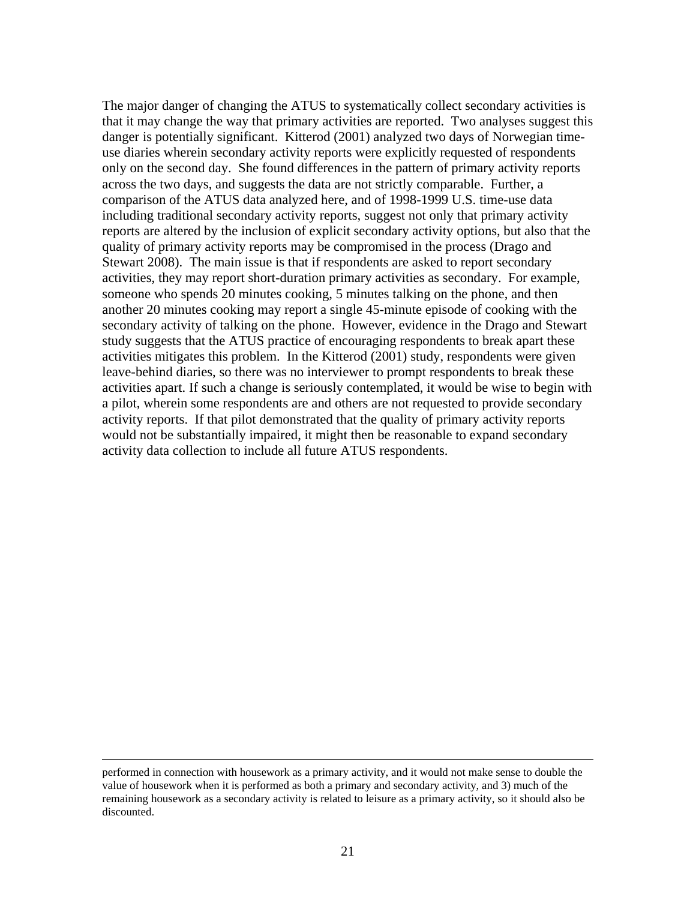The major danger of changing the ATUS to systematically collect secondary activities is that it may change the way that primary activities are reported. Two analyses suggest this danger is potentially significant. Kitterod (2001) analyzed two days of Norwegian timeuse diaries wherein secondary activity reports were explicitly requested of respondents only on the second day. She found differences in the pattern of primary activity reports across the two days, and suggests the data are not strictly comparable. Further, a comparison of the ATUS data analyzed here, and of 1998-1999 U.S. time-use data including traditional secondary activity reports, suggest not only that primary activity reports are altered by the inclusion of explicit secondary activity options, but also that the quality of primary activity reports may be compromised in the process (Drago and Stewart 2008). The main issue is that if respondents are asked to report secondary activities, they may report short-duration primary activities as secondary. For example, someone who spends 20 minutes cooking, 5 minutes talking on the phone, and then another 20 minutes cooking may report a single 45-minute episode of cooking with the secondary activity of talking on the phone. However, evidence in the Drago and Stewart study suggests that the ATUS practice of encouraging respondents to break apart these activities mitigates this problem. In the Kitterod (2001) study, respondents were given leave-behind diaries, so there was no interviewer to prompt respondents to break these activities apart. If such a change is seriously contemplated, it would be wise to begin with a pilot, wherein some respondents are and others are not requested to provide secondary activity reports. If that pilot demonstrated that the quality of primary activity reports would not be substantially impaired, it might then be reasonable to expand secondary activity data collection to include all future ATUS respondents.

performed in connection with housework as a primary activity, and it would not make sense to double the value of housework when it is performed as both a primary and secondary activity, and 3) much of the remaining housework as a secondary activity is related to leisure as a primary activity, so it should also be discounted.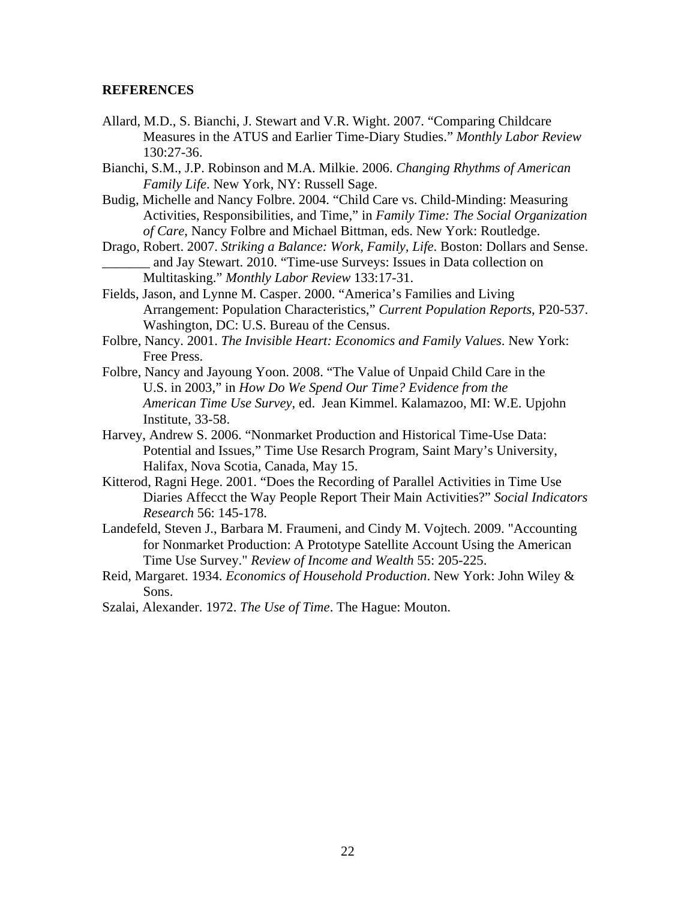#### **REFERENCES**

- Allard, M.D., S. Bianchi, J. Stewart and V.R. Wight. 2007. "Comparing Childcare Measures in the ATUS and Earlier Time-Diary Studies." *Monthly Labor Review* 130:27-36.
- Bianchi, S.M., J.P. Robinson and M.A. Milkie. 2006. *Changing Rhythms of American Family Life*. New York, NY: Russell Sage.
- Budig, Michelle and Nancy Folbre. 2004. "Child Care vs. Child-Minding: Measuring Activities, Responsibilities, and Time," in *Family Time: The Social Organization of Care*, Nancy Folbre and Michael Bittman, eds. New York: Routledge.
- Drago, Robert. 2007. *Striking a Balance: Work, Family, Life*. Boston: Dollars and Sense. and Jay Stewart. 2010. "Time-use Surveys: Issues in Data collection on Multitasking." *Monthly Labor Review* 133:17-31.
- Fields, Jason, and Lynne M. Casper. 2000. "America's Families and Living Arrangement: Population Characteristics," *Current Population Reports*, P20-537. Washington, DC: U.S. Bureau of the Census.
- Folbre, Nancy. 2001. *The Invisible Heart: Economics and Family Values*. New York: Free Press.
- Folbre, Nancy and Jayoung Yoon. 2008. "The Value of Unpaid Child Care in the U.S. in 2003," in *How Do We Spend Our Time? Evidence from the American Time Use Survey*, ed. Jean Kimmel. Kalamazoo, MI: W.E. Upjohn Institute, 33-58.
- Harvey, Andrew S. 2006. "Nonmarket Production and Historical Time-Use Data: Potential and Issues," Time Use Resarch Program, Saint Mary's University, Halifax, Nova Scotia, Canada, May 15.
- Kitterod, Ragni Hege. 2001. "Does the Recording of Parallel Activities in Time Use Diaries Affecct the Way People Report Their Main Activities?" *Social Indicators Research* 56: 145-178.
- Landefeld, Steven J., Barbara M. Fraumeni, and Cindy M. Vojtech. 2009. "Accounting for Nonmarket Production: A Prototype Satellite Account Using the American Time Use Survey." *Review of Income and Wealth* 55: 205-225.
- Reid, Margaret. 1934. *Economics of Household Production*. New York: John Wiley & Sons.
- Szalai, Alexander. 1972. *The Use of Time*. The Hague: Mouton.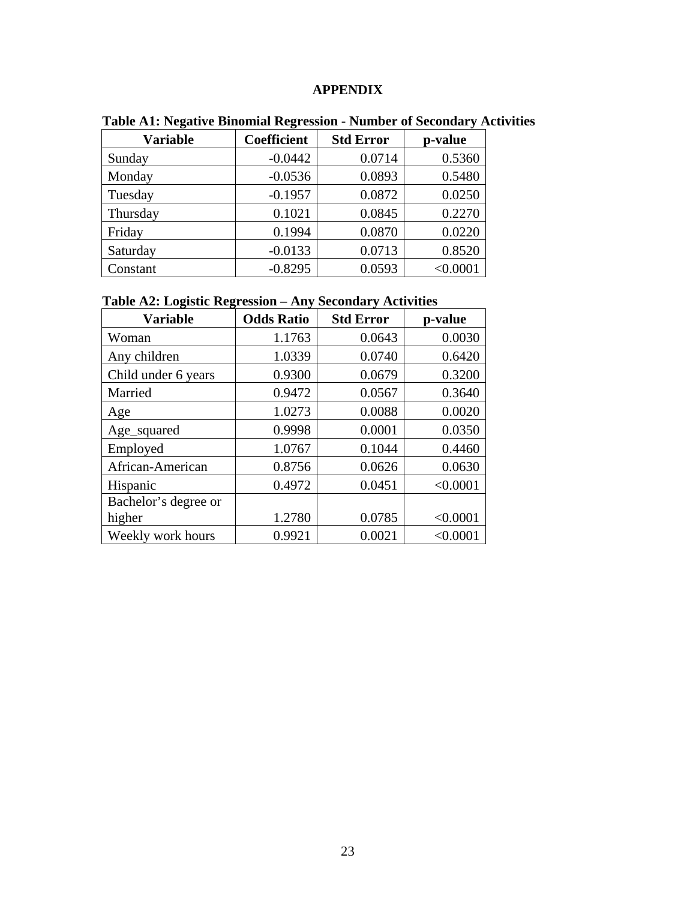# **APPENDIX**

| <b>Variable</b> | <b>Coefficient</b> | <b>Std Error</b> | p-value  |
|-----------------|--------------------|------------------|----------|
| Sunday          | $-0.0442$          | 0.0714           | 0.5360   |
| Monday          | $-0.0536$          | 0.0893           | 0.5480   |
| Tuesday         | $-0.1957$          | 0.0872           | 0.0250   |
| Thursday        | 0.1021             | 0.0845           | 0.2270   |
| Friday          | 0.1994             | 0.0870           | 0.0220   |
| Saturday        | $-0.0133$          | 0.0713           | 0.8520   |
| Constant        | $-0.8295$          | 0.0593           | < 0.0001 |

**Table A1: Negative Binomial Regression - Number of Secondary Activities** 

|  |  |  | Table A2: Logistic Regression – Any Secondary Activities |  |  |
|--|--|--|----------------------------------------------------------|--|--|
|  |  |  |                                                          |  |  |

| <b>Variable</b>      | <b>Odds Ratio</b> | <b>Std Error</b> | p-value  |
|----------------------|-------------------|------------------|----------|
| Woman                | 1.1763            | 0.0643           | 0.0030   |
| Any children         | 1.0339            | 0.0740           | 0.6420   |
| Child under 6 years  | 0.9300            | 0.0679           | 0.3200   |
| Married              | 0.9472            | 0.0567           | 0.3640   |
| Age                  | 1.0273            | 0.0088           | 0.0020   |
| Age_squared          | 0.9998            | 0.0001           | 0.0350   |
| Employed             | 1.0767            | 0.1044           | 0.4460   |
| African-American     | 0.8756            | 0.0626           | 0.0630   |
| Hispanic             | 0.4972            | 0.0451           | < 0.0001 |
| Bachelor's degree or |                   |                  |          |
| higher               | 1.2780            | 0.0785           | < 0.0001 |
| Weekly work hours    | 0.9921            | 0.0021           | < 0.0001 |